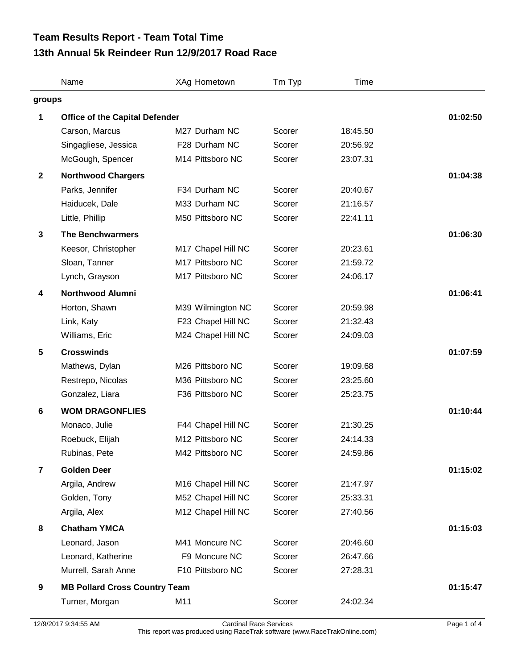## **13th Annual 5k Reindeer Run 12/9/2017 Road Race Team Results Report - Team Total Time**

|                         | Name                                  | XAg Hometown       | Tm Typ | Time     |          |  |
|-------------------------|---------------------------------------|--------------------|--------|----------|----------|--|
| groups                  |                                       |                    |        |          |          |  |
| 1                       | <b>Office of the Capital Defender</b> |                    |        |          | 01:02:50 |  |
|                         | Carson, Marcus                        | M27 Durham NC      | Scorer | 18:45.50 |          |  |
|                         | Singagliese, Jessica                  | F28 Durham NC      | Scorer | 20:56.92 |          |  |
|                         | McGough, Spencer                      | M14 Pittsboro NC   | Scorer | 23:07.31 |          |  |
| $\mathbf{2}$            | <b>Northwood Chargers</b>             |                    |        |          | 01:04:38 |  |
|                         | Parks, Jennifer                       | F34 Durham NC      | Scorer | 20:40.67 |          |  |
|                         | Haiducek, Dale                        | M33 Durham NC      | Scorer | 21:16.57 |          |  |
|                         | Little, Phillip                       | M50 Pittsboro NC   | Scorer | 22:41.11 |          |  |
| $\mathbf{3}$            | <b>The Benchwarmers</b>               |                    |        |          | 01:06:30 |  |
|                         | Keesor, Christopher                   | M17 Chapel Hill NC | Scorer | 20:23.61 |          |  |
|                         | Sloan, Tanner                         | M17 Pittsboro NC   | Scorer | 21:59.72 |          |  |
|                         | Lynch, Grayson                        | M17 Pittsboro NC   | Scorer | 24:06.17 |          |  |
| 4                       | <b>Northwood Alumni</b>               |                    |        |          | 01:06:41 |  |
|                         | Horton, Shawn                         | M39 Wilmington NC  | Scorer | 20:59.98 |          |  |
|                         | Link, Katy                            | F23 Chapel Hill NC | Scorer | 21:32.43 |          |  |
|                         | Williams, Eric                        | M24 Chapel Hill NC | Scorer | 24:09.03 |          |  |
| $5\phantom{.0}$         | <b>Crosswinds</b>                     |                    |        |          | 01:07:59 |  |
|                         | Mathews, Dylan                        | M26 Pittsboro NC   | Scorer | 19:09.68 |          |  |
|                         | Restrepo, Nicolas                     | M36 Pittsboro NC   | Scorer | 23:25.60 |          |  |
|                         | Gonzalez, Liara                       | F36 Pittsboro NC   | Scorer | 25:23.75 |          |  |
| 6                       | <b>WOM DRAGONFLIES</b>                |                    |        |          | 01:10:44 |  |
|                         | Monaco, Julie                         | F44 Chapel Hill NC | Scorer | 21:30.25 |          |  |
|                         | Roebuck, Elijah                       | M12 Pittsboro NC   | Scorer | 24:14.33 |          |  |
|                         | Rubinas, Pete                         | M42 Pittsboro NC   | Scorer | 24:59.86 |          |  |
| $\overline{\mathbf{r}}$ | <b>Golden Deer</b>                    |                    |        |          | 01:15:02 |  |
|                         | Argila, Andrew                        | M16 Chapel Hill NC | Scorer | 21:47.97 |          |  |
|                         | Golden, Tony                          | M52 Chapel Hill NC | Scorer | 25:33.31 |          |  |
|                         | Argila, Alex                          | M12 Chapel Hill NC | Scorer | 27:40.56 |          |  |
| 8                       | <b>Chatham YMCA</b>                   |                    |        |          | 01:15:03 |  |
|                         | Leonard, Jason                        | M41 Moncure NC     | Scorer | 20:46.60 |          |  |
|                         | Leonard, Katherine                    | F9 Moncure NC      | Scorer | 26:47.66 |          |  |
|                         | Murrell, Sarah Anne                   | F10 Pittsboro NC   | Scorer | 27:28.31 |          |  |
| 9                       | <b>MB Pollard Cross Country Team</b>  |                    |        |          | 01:15:47 |  |
|                         | Turner, Morgan                        | M11                | Scorer | 24:02.34 |          |  |
|                         |                                       |                    |        |          |          |  |

12/9/2017 9:34:55 AM Cardinal Race Services Page 1 of 4 This report was produced using RaceTrak software (www.RaceTrakOnline.com)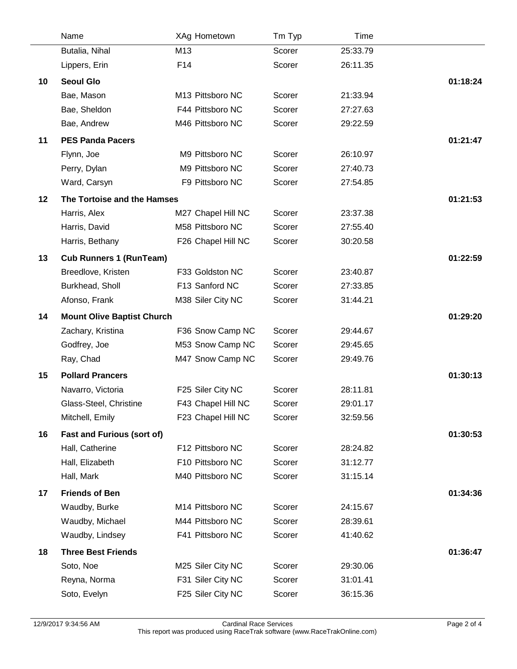|    | Name                              | XAg Hometown       | Tm Typ | Time     |          |
|----|-----------------------------------|--------------------|--------|----------|----------|
|    | Butalia, Nihal                    | M13                | Scorer | 25:33.79 |          |
|    | Lippers, Erin                     | F14                | Scorer | 26:11.35 |          |
| 10 | <b>Seoul Glo</b>                  |                    |        |          | 01:18:24 |
|    | Bae, Mason                        | M13 Pittsboro NC   | Scorer | 21:33.94 |          |
|    | Bae, Sheldon                      | F44 Pittsboro NC   | Scorer | 27:27.63 |          |
|    | Bae, Andrew                       | M46 Pittsboro NC   | Scorer | 29:22.59 |          |
| 11 | <b>PES Panda Pacers</b>           |                    |        |          | 01:21:47 |
|    | Flynn, Joe                        | M9 Pittsboro NC    | Scorer | 26:10.97 |          |
|    | Perry, Dylan                      | M9 Pittsboro NC    | Scorer | 27:40.73 |          |
|    | Ward, Carsyn                      | F9 Pittsboro NC    | Scorer | 27:54.85 |          |
| 12 | The Tortoise and the Hamses       |                    |        |          | 01:21:53 |
|    | Harris, Alex                      | M27 Chapel Hill NC | Scorer | 23:37.38 |          |
|    | Harris, David                     | M58 Pittsboro NC   | Scorer | 27:55.40 |          |
|    | Harris, Bethany                   | F26 Chapel Hill NC | Scorer | 30:20.58 |          |
| 13 | <b>Cub Runners 1 (RunTeam)</b>    |                    |        |          | 01:22:59 |
|    | Breedlove, Kristen                | F33 Goldston NC    | Scorer | 23:40.87 |          |
|    | Burkhead, Sholl                   | F13 Sanford NC     | Scorer | 27:33.85 |          |
|    | Afonso, Frank                     | M38 Siler City NC  | Scorer | 31:44.21 |          |
| 14 | <b>Mount Olive Baptist Church</b> |                    |        |          | 01:29:20 |
|    | Zachary, Kristina                 | F36 Snow Camp NC   | Scorer | 29:44.67 |          |
|    | Godfrey, Joe                      | M53 Snow Camp NC   | Scorer | 29:45.65 |          |
|    | Ray, Chad                         | M47 Snow Camp NC   | Scorer | 29:49.76 |          |
| 15 | <b>Pollard Prancers</b>           |                    |        |          | 01:30:13 |
|    | Navarro, Victoria                 | F25 Siler City NC  | Scorer | 28:11.81 |          |
|    | Glass-Steel, Christine            | F43 Chapel Hill NC | Scorer | 29:01.17 |          |
|    | Mitchell, Emily                   | F23 Chapel Hill NC | Scorer | 32:59.56 |          |
| 16 | <b>Fast and Furious (sort of)</b> |                    |        |          | 01:30:53 |
|    | Hall, Catherine                   | F12 Pittsboro NC   | Scorer | 28:24.82 |          |
|    | Hall, Elizabeth                   | F10 Pittsboro NC   | Scorer | 31:12.77 |          |
|    | Hall, Mark                        | M40 Pittsboro NC   | Scorer | 31:15.14 |          |
| 17 | <b>Friends of Ben</b>             |                    |        |          | 01:34:36 |
|    | Waudby, Burke                     | M14 Pittsboro NC   | Scorer | 24:15.67 |          |
|    | Waudby, Michael                   | M44 Pittsboro NC   | Scorer | 28:39.61 |          |
|    | Waudby, Lindsey                   | F41 Pittsboro NC   | Scorer | 41:40.62 |          |
| 18 | <b>Three Best Friends</b>         |                    |        |          | 01:36:47 |
|    | Soto, Noe                         | M25 Siler City NC  | Scorer | 29:30.06 |          |
|    | Reyna, Norma                      | F31 Siler City NC  | Scorer | 31:01.41 |          |
|    | Soto, Evelyn                      | F25 Siler City NC  | Scorer | 36:15.36 |          |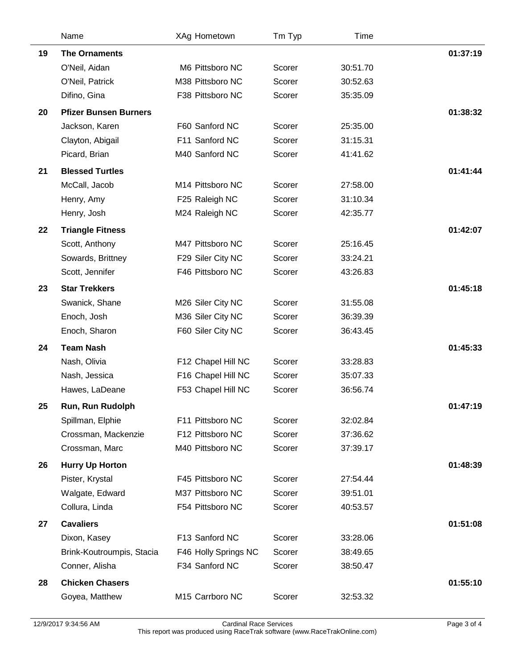|    | Name                         | XAg Hometown         | Tm Typ | Time     |          |
|----|------------------------------|----------------------|--------|----------|----------|
| 19 | <b>The Ornaments</b>         |                      |        |          | 01:37:19 |
|    | O'Neil, Aidan                | M6 Pittsboro NC      | Scorer | 30:51.70 |          |
|    | O'Neil, Patrick              | M38 Pittsboro NC     | Scorer | 30:52.63 |          |
|    | Difino, Gina                 | F38 Pittsboro NC     | Scorer | 35:35.09 |          |
| 20 | <b>Pfizer Bunsen Burners</b> |                      |        |          | 01:38:32 |
|    | Jackson, Karen               | F60 Sanford NC       | Scorer | 25:35.00 |          |
|    | Clayton, Abigail             | F11 Sanford NC       | Scorer | 31:15.31 |          |
|    | Picard, Brian                | M40 Sanford NC       | Scorer | 41:41.62 |          |
| 21 | <b>Blessed Turtles</b>       |                      |        |          | 01:41:44 |
|    | McCall, Jacob                | M14 Pittsboro NC     | Scorer | 27:58.00 |          |
|    | Henry, Amy                   | F25 Raleigh NC       | Scorer | 31:10.34 |          |
|    | Henry, Josh                  | M24 Raleigh NC       | Scorer | 42:35.77 |          |
| 22 | <b>Triangle Fitness</b>      |                      |        |          | 01:42:07 |
|    | Scott, Anthony               | M47 Pittsboro NC     | Scorer | 25:16.45 |          |
|    | Sowards, Brittney            | F29 Siler City NC    | Scorer | 33:24.21 |          |
|    | Scott, Jennifer              | F46 Pittsboro NC     | Scorer | 43:26.83 |          |
| 23 | <b>Star Trekkers</b>         |                      |        |          | 01:45:18 |
|    | Swanick, Shane               | M26 Siler City NC    | Scorer | 31:55.08 |          |
|    | Enoch, Josh                  | M36 Siler City NC    | Scorer | 36:39.39 |          |
|    | Enoch, Sharon                | F60 Siler City NC    | Scorer | 36:43.45 |          |
| 24 | <b>Team Nash</b>             |                      |        |          | 01:45:33 |
|    | Nash, Olivia                 | F12 Chapel Hill NC   | Scorer | 33:28.83 |          |
|    | Nash, Jessica                | F16 Chapel Hill NC   | Scorer | 35:07.33 |          |
|    | Hawes, LaDeane               | F53 Chapel Hill NC   | Scorer | 36:56.74 |          |
| 25 | Run, Run Rudolph             |                      |        |          | 01:47:19 |
|    | Spillman, Elphie             | F11 Pittsboro NC     | Scorer | 32:02.84 |          |
|    | Crossman, Mackenzie          | F12 Pittsboro NC     | Scorer | 37:36.62 |          |
|    | Crossman, Marc               | M40 Pittsboro NC     | Scorer | 37:39.17 |          |
| 26 | <b>Hurry Up Horton</b>       |                      |        |          | 01:48:39 |
|    | Pister, Krystal              | F45 Pittsboro NC     | Scorer | 27:54.44 |          |
|    | Walgate, Edward              | M37 Pittsboro NC     | Scorer | 39:51.01 |          |
|    | Collura, Linda               | F54 Pittsboro NC     | Scorer | 40:53.57 |          |
| 27 | <b>Cavaliers</b>             |                      |        |          | 01:51:08 |
|    | Dixon, Kasey                 | F13 Sanford NC       | Scorer | 33:28.06 |          |
|    | Brink-Koutroumpis, Stacia    | F46 Holly Springs NC | Scorer | 38:49.65 |          |
|    | Conner, Alisha               | F34 Sanford NC       | Scorer | 38:50.47 |          |
| 28 | <b>Chicken Chasers</b>       |                      |        |          | 01:55:10 |
|    | Goyea, Matthew               | M15 Carrboro NC      | Scorer | 32:53.32 |          |
|    |                              |                      |        |          |          |